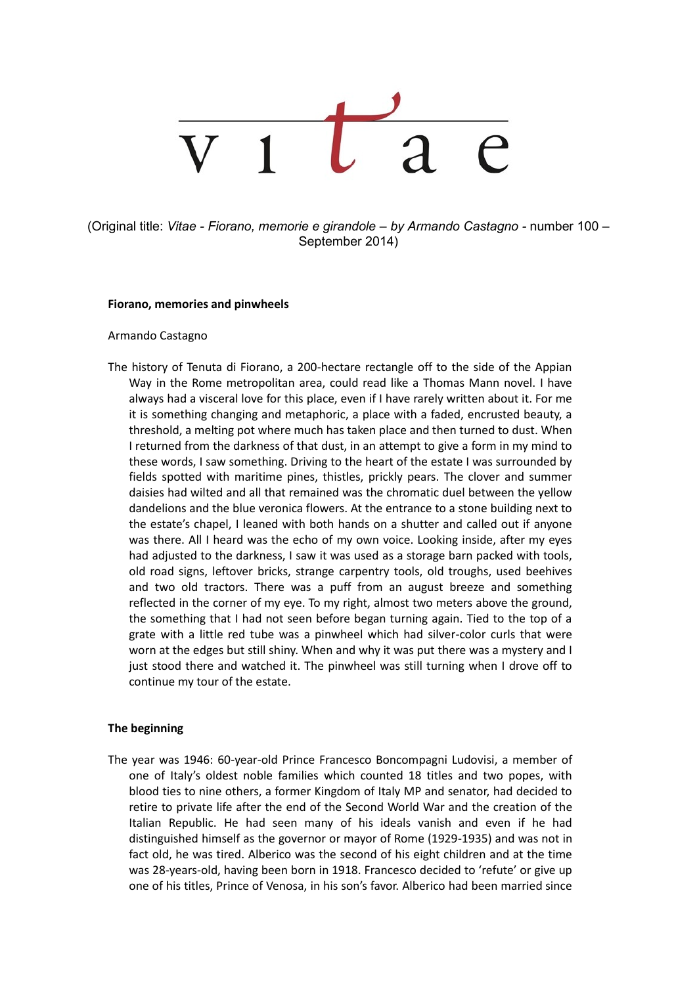(Original title: *Vitae - Fiorano, memorie e girandole – by Armando Castagno -* number 100 – September 2014)

#### **Fiorano, memories and pinwheels**

#### Armando Castagno

The history of Tenuta di Fiorano, a 200-hectare rectangle off to the side of the Appian Way in the Rome metropolitan area, could read like a Thomas Mann novel. I have always had a visceral love for this place, even if I have rarely written about it. For me it is something changing and metaphoric, a place with a faded, encrusted beauty, a threshold, a melting pot where much has taken place and then turned to dust. When I returned from the darkness of that dust, in an attempt to give a form in my mind to these words, I saw something. Driving to the heart of the estate I was surrounded by fields spotted with maritime pines, thistles, prickly pears. The clover and summer daisies had wilted and all that remained was the chromatic duel between the yellow dandelions and the blue veronica flowers. At the entrance to a stone building next to the estate's chapel, I leaned with both hands on a shutter and called out if anyone was there. All I heard was the echo of my own voice. Looking inside, after my eyes had adjusted to the darkness, I saw it was used as a storage barn packed with tools, old road signs, leftover bricks, strange carpentry tools, old troughs, used beehives and two old tractors. There was a puff from an august breeze and something reflected in the corner of my eye. To my right, almost two meters above the ground, the something that I had not seen before began turning again. Tied to the top of a grate with a little red tube was a pinwheel which had silver-color curls that were worn at the edges but still shiny. When and why it was put there was a mystery and I just stood there and watched it. The pinwheel was still turning when I drove off to continue my tour of the estate.

## **The beginning**

The year was 1946: 60-year-old Prince Francesco Boncompagni Ludovisi, a member of one of Italy's oldest noble families which counted 18 titles and two popes, with blood ties to nine others, a former Kingdom of Italy MP and senator, had decided to retire to private life after the end of the Second World War and the creation of the Italian Republic. He had seen many of his ideals vanish and even if he had distinguished himself as the governor or mayor of Rome (1929-1935) and was not in fact old, he was tired. Alberico was the second of his eight children and at the time was 28-years-old, having been born in 1918. Francesco decided to 'refute' or give up one of his titles, Prince of Venosa, in his son's favor. Alberico had been married since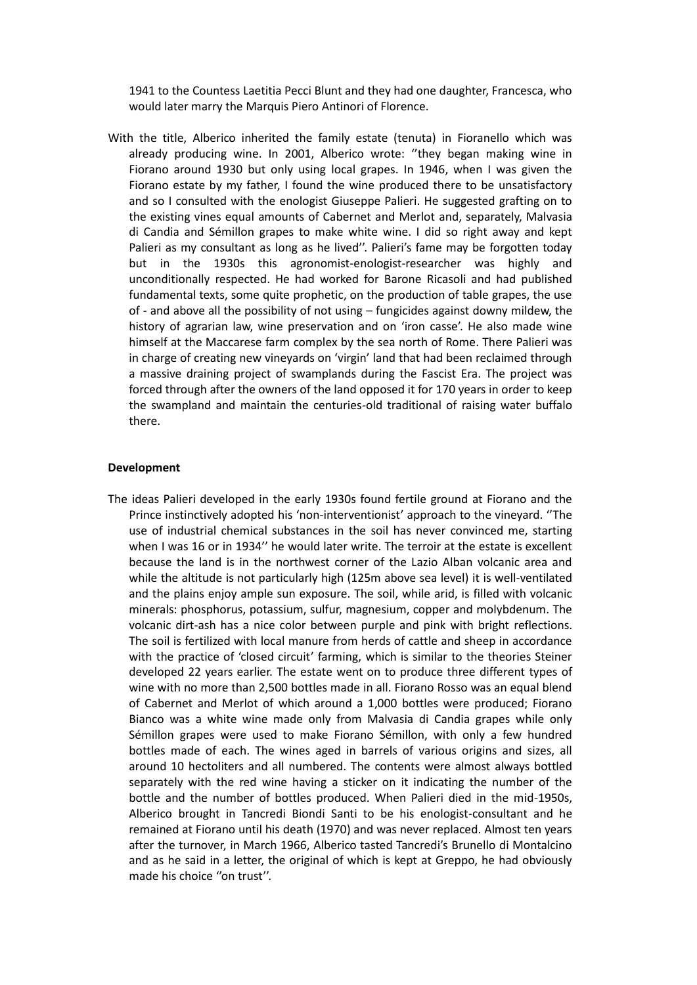1941 to the Countess Laetitia Pecci Blunt and they had one daughter, Francesca, who would later marry the Marquis Piero Antinori of Florence.

With the title, Alberico inherited the family estate (tenuta) in Fioranello which was already producing wine. In 2001, Alberico wrote: ''they began making wine in Fiorano around 1930 but only using local grapes. In 1946, when I was given the Fiorano estate by my father, I found the wine produced there to be unsatisfactory and so I consulted with the enologist Giuseppe Palieri. He suggested grafting on to the existing vines equal amounts of Cabernet and Merlot and, separately, Malvasia di Candia and Sémillon grapes to make white wine. I did so right away and kept Palieri as my consultant as long as he lived''. Palieri's fame may be forgotten today but in the 1930s this agronomist-enologist-researcher was highly and unconditionally respected. He had worked for Barone Ricasoli and had published fundamental texts, some quite prophetic, on the production of table grapes, the use of - and above all the possibility of not using – fungicides against downy mildew, the history of agrarian law, wine preservation and on 'iron casse'. He also made wine himself at the Maccarese farm complex by the sea north of Rome. There Palieri was in charge of creating new vineyards on 'virgin' land that had been reclaimed through a massive draining project of swamplands during the Fascist Era. The project was forced through after the owners of the land opposed it for 170 years in order to keep the swampland and maintain the centuries-old traditional of raising water buffalo there.

#### **Development**

The ideas Palieri developed in the early 1930s found fertile ground at Fiorano and the Prince instinctively adopted his 'non-interventionist' approach to the vineyard. ''The use of industrial chemical substances in the soil has never convinced me, starting when I was 16 or in 1934'' he would later write. The terroir at the estate is excellent because the land is in the northwest corner of the Lazio Alban volcanic area and while the altitude is not particularly high (125m above sea level) it is well-ventilated and the plains enjoy ample sun exposure. The soil, while arid, is filled with volcanic minerals: phosphorus, potassium, sulfur, magnesium, copper and molybdenum. The volcanic dirt-ash has a nice color between purple and pink with bright reflections. The soil is fertilized with local manure from herds of cattle and sheep in accordance with the practice of 'closed circuit' farming, which is similar to the theories Steiner developed 22 years earlier. The estate went on to produce three different types of wine with no more than 2,500 bottles made in all. Fiorano Rosso was an equal blend of Cabernet and Merlot of which around a 1,000 bottles were produced; Fiorano Bianco was a white wine made only from Malvasia di Candia grapes while only Sémillon grapes were used to make Fiorano Sémillon, with only a few hundred bottles made of each. The wines aged in barrels of various origins and sizes, all around 10 hectoliters and all numbered. The contents were almost always bottled separately with the red wine having a sticker on it indicating the number of the bottle and the number of bottles produced. When Palieri died in the mid-1950s, Alberico brought in Tancredi Biondi Santi to be his enologist-consultant and he remained at Fiorano until his death (1970) and was never replaced. Almost ten years after the turnover, in March 1966, Alberico tasted Tancredi's Brunello di Montalcino and as he said in a letter, the original of which is kept at Greppo, he had obviously made his choice "on trust".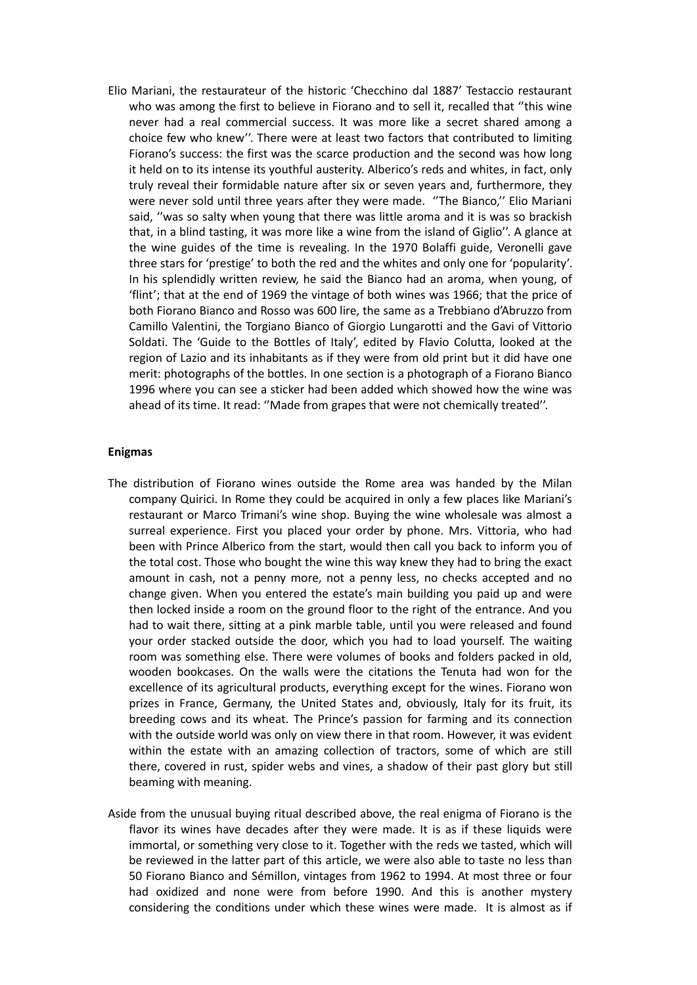Elio Mariani, the restaurateur of the historic 'Checchino dal 1887' Testaccio restaurant who was among the first to believe in Fiorano and to sell it, recalled that ''this wine never had a real commercial success. It was more like a secret shared among a choice few who knew''. There were at least two factors that contributed to limiting Fiorano's success: the first was the scarce production and the second was how long it held on to its intense its youthful austerity. Alberico's reds and whites, in fact, only truly reveal their formidable nature after six or seven years and, furthermore, they were never sold until three years after they were made. ''The Bianco,'' Elio Mariani said, ''was so salty when young that there was little aroma and it is was so brackish that, in a blind tasting, it was more like a wine from the island of Giglio''. A glance at the wine guides of the time is revealing. In the 1970 Bolaffi guide, Veronelli gave three stars for 'prestige' to both the red and the whites and only one for 'popularity'. In his splendidly written review, he said the Bianco had an aroma, when young, of 'flint'; that at the end of 1969 the vintage of both wines was 1966; that the price of both Fiorano Bianco and Rosso was 600 lire, the same as a Trebbiano d'Abruzzo from Camillo Valentini, the Torgiano Bianco of Giorgio Lungarotti and the Gavi of Vittorio Soldati. The 'Guide to the Bottles of Italy', edited by Flavio Colutta, looked at the region of Lazio and its inhabitants as if they were from old print but it did have one merit: photographs of the bottles. In one section is a photograph of a Fiorano Bianco 1996 where you can see a sticker had been added which showed how the wine was ahead of its time. It read: ''Made from grapes that were not chemically treated''.

#### **Enigmas**

- The distribution of Fiorano wines outside the Rome area was handed by the Milan company Quirici. In Rome they could be acquired in only a few places like Mariani's restaurant or Marco Trimani's wine shop. Buying the wine wholesale was almost a surreal experience. First you placed your order by phone. Mrs. Vittoria, who had been with Prince Alberico from the start, would then call you back to inform you of the total cost. Those who bought the wine this way knew they had to bring the exact amount in cash, not a penny more, not a penny less, no checks accepted and no change given. When you entered the estate's main building you paid up and were then locked inside a room on the ground floor to the right of the entrance. And you had to wait there, sitting at a pink marble table, until you were released and found your order stacked outside the door, which you had to load yourself. The waiting room was something else. There were volumes of books and folders packed in old, wooden bookcases. On the walls were the citations the Tenuta had won for the excellence of its agricultural products, everything except for the wines. Fiorano won prizes in France, Germany, the United States and, obviously, Italy for its fruit, its breeding cows and its wheat. The Prince's passion for farming and its connection with the outside world was only on view there in that room. However, it was evident within the estate with an amazing collection of tractors, some of which are still there, covered in rust, spider webs and vines, a shadow of their past glory but still beaming with meaning.
- Aside from the unusual buying ritual described above, the real enigma of Fiorano is the flavor its wines have decades after they were made. It is as if these liquids were immortal, or something very close to it. Together with the reds we tasted, which will be reviewed in the latter part of this article, we were also able to taste no less than 50 Fiorano Bianco and Sémillon, vintages from 1962 to 1994. At most three or four had oxidized and none were from before 1990. And this is another mystery considering the conditions under which these wines were made. It is almost as if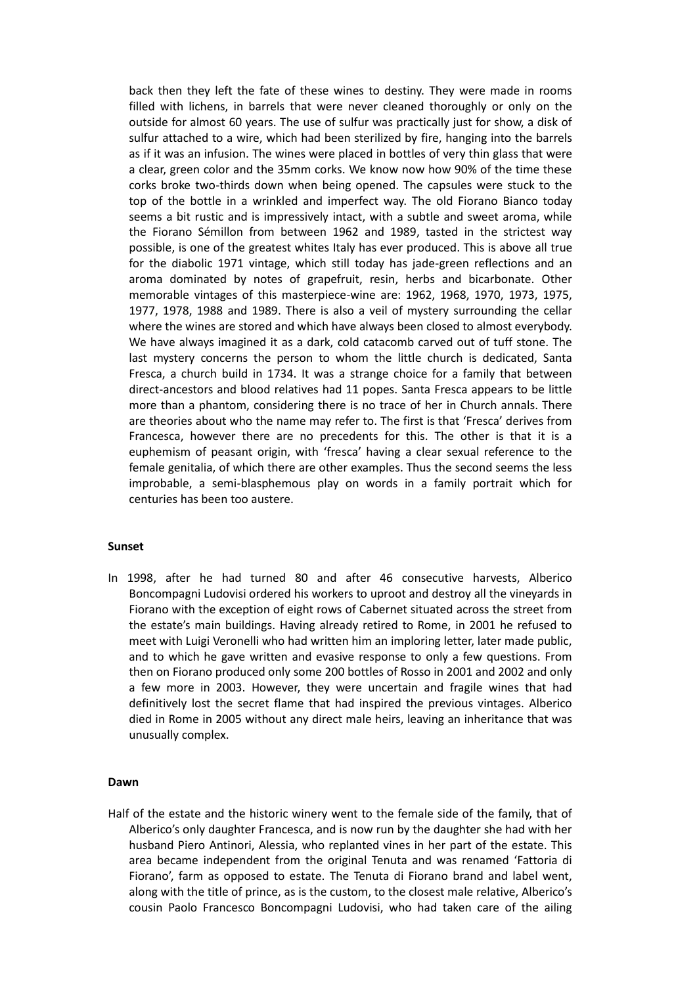back then they left the fate of these wines to destiny. They were made in rooms filled with lichens, in barrels that were never cleaned thoroughly or only on the outside for almost 60 years. The use of sulfur was practically just for show, a disk of sulfur attached to a wire, which had been sterilized by fire, hanging into the barrels as if it was an infusion. The wines were placed in bottles of very thin glass that were a clear, green color and the 35mm corks. We know now how 90% of the time these corks broke two-thirds down when being opened. The capsules were stuck to the top of the bottle in a wrinkled and imperfect way. The old Fiorano Bianco today seems a bit rustic and is impressively intact, with a subtle and sweet aroma, while the Fiorano Sémillon from between 1962 and 1989, tasted in the strictest way possible, is one of the greatest whites Italy has ever produced. This is above all true for the diabolic 1971 vintage, which still today has jade-green reflections and an aroma dominated by notes of grapefruit, resin, herbs and bicarbonate. Other memorable vintages of this masterpiece-wine are: 1962, 1968, 1970, 1973, 1975, 1977, 1978, 1988 and 1989. There is also a veil of mystery surrounding the cellar where the wines are stored and which have always been closed to almost everybody. We have always imagined it as a dark, cold catacomb carved out of tuff stone. The last mystery concerns the person to whom the little church is dedicated, Santa Fresca, a church build in 1734. It was a strange choice for a family that between direct-ancestors and blood relatives had 11 popes. Santa Fresca appears to be little more than a phantom, considering there is no trace of her in Church annals. There are theories about who the name may refer to. The first is that 'Fresca' derives from Francesca, however there are no precedents for this. The other is that it is a euphemism of peasant origin, with 'fresca' having a clear sexual reference to the female genitalia, of which there are other examples. Thus the second seems the less improbable, a semi-blasphemous play on words in a family portrait which for centuries has been too austere.

## **Sunset**

In 1998, after he had turned 80 and after 46 consecutive harvests, Alberico Boncompagni Ludovisi ordered his workers to uproot and destroy all the vineyards in Fiorano with the exception of eight rows of Cabernet situated across the street from the estate's main buildings. Having already retired to Rome, in 2001 he refused to meet with Luigi Veronelli who had written him an imploring letter, later made public, and to which he gave written and evasive response to only a few questions. From then on Fiorano produced only some 200 bottles of Rosso in 2001 and 2002 and only a few more in 2003. However, they were uncertain and fragile wines that had definitively lost the secret flame that had inspired the previous vintages. Alberico died in Rome in 2005 without any direct male heirs, leaving an inheritance that was unusually complex.

# **Dawn**

Half of the estate and the historic winery went to the female side of the family, that of Alberico's only daughter Francesca, and is now run by the daughter she had with her husband Piero Antinori, Alessia, who replanted vines in her part of the estate. This area became independent from the original Tenuta and was renamed 'Fattoria di Fiorano', farm as opposed to estate. The Tenuta di Fiorano brand and label went, along with the title of prince, as is the custom, to the closest male relative, Alberico's cousin Paolo Francesco Boncompagni Ludovisi, who had taken care of the ailing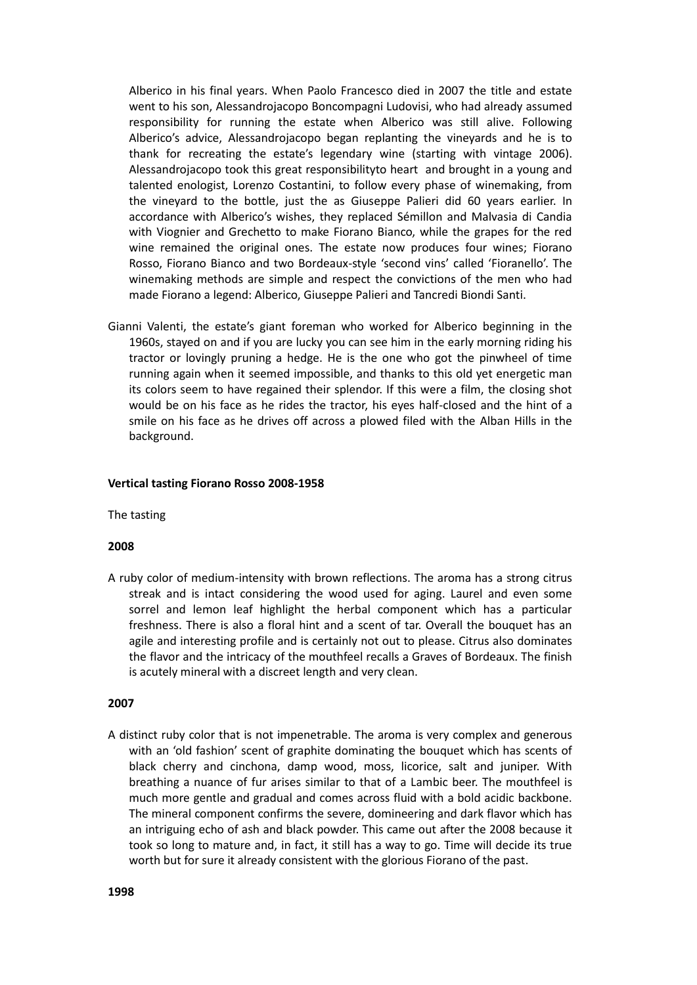Alberico in his final years. When Paolo Francesco died in 2007 the title and estate went to his son, Alessandrojacopo Boncompagni Ludovisi, who had already assumed responsibility for running the estate when Alberico was still alive. Following Alberico's advice, Alessandrojacopo began replanting the vineyards and he is to thank for recreating the estate's legendary wine (starting with vintage 2006). Alessandrojacopo took this great responsibilityto heart and brought in a young and talented enologist, Lorenzo Costantini, to follow every phase of winemaking, from the vineyard to the bottle, just the as Giuseppe Palieri did 60 years earlier. In accordance with Alberico's wishes, they replaced Sémillon and Malvasia di Candia with Viognier and Grechetto to make Fiorano Bianco, while the grapes for the red wine remained the original ones. The estate now produces four wines; Fiorano Rosso, Fiorano Bianco and two Bordeaux-style 'second vins' called 'Fioranello'. The winemaking methods are simple and respect the convictions of the men who had made Fiorano a legend: Alberico, Giuseppe Palieri and Tancredi Biondi Santi.

Gianni Valenti, the estate's giant foreman who worked for Alberico beginning in the 1960s, stayed on and if you are lucky you can see him in the early morning riding his tractor or lovingly pruning a hedge. He is the one who got the pinwheel of time running again when it seemed impossible, and thanks to this old yet energetic man its colors seem to have regained their splendor. If this were a film, the closing shot would be on his face as he rides the tractor, his eyes half-closed and the hint of a smile on his face as he drives off across a plowed filed with the Alban Hills in the background.

#### **Vertical tasting Fiorano Rosso 2008-1958**

The tasting

## **2008**

A ruby color of medium-intensity with brown reflections. The aroma has a strong citrus streak and is intact considering the wood used for aging. Laurel and even some sorrel and lemon leaf highlight the herbal component which has a particular freshness. There is also a floral hint and a scent of tar. Overall the bouquet has an agile and interesting profile and is certainly not out to please. Citrus also dominates the flavor and the intricacy of the mouthfeel recalls a Graves of Bordeaux. The finish is acutely mineral with a discreet length and very clean.

#### **2007**

A distinct ruby color that is not impenetrable. The aroma is very complex and generous with an 'old fashion' scent of graphite dominating the bouquet which has scents of black cherry and cinchona, damp wood, moss, licorice, salt and juniper. With breathing a nuance of fur arises similar to that of a Lambic beer. The mouthfeel is much more gentle and gradual and comes across fluid with a bold acidic backbone. The mineral component confirms the severe, domineering and dark flavor which has an intriguing echo of ash and black powder. This came out after the 2008 because it took so long to mature and, in fact, it still has a way to go. Time will decide its true worth but for sure it already consistent with the glorious Fiorano of the past.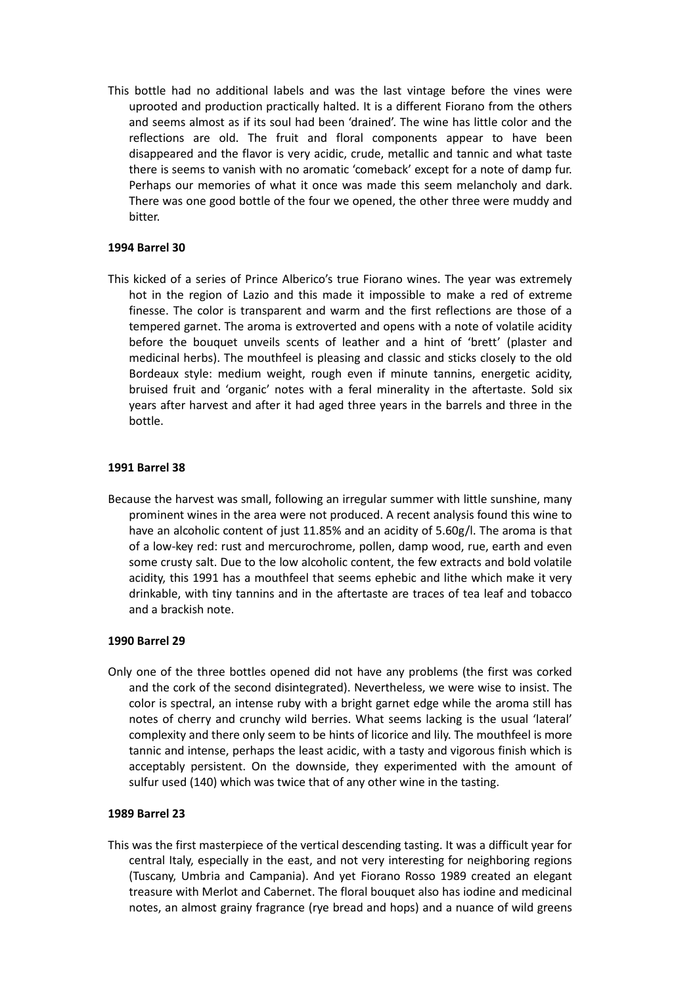This bottle had no additional labels and was the last vintage before the vines were uprooted and production practically halted. It is a different Fiorano from the others and seems almost as if its soul had been 'drained'. The wine has little color and the reflections are old. The fruit and floral components appear to have been disappeared and the flavor is very acidic, crude, metallic and tannic and what taste there is seems to vanish with no aromatic 'comeback' except for a note of damp fur. Perhaps our memories of what it once was made this seem melancholy and dark. There was one good bottle of the four we opened, the other three were muddy and bitter.

# **1994 Barrel 30**

This kicked of a series of Prince Alberico's true Fiorano wines. The year was extremely hot in the region of Lazio and this made it impossible to make a red of extreme finesse. The color is transparent and warm and the first reflections are those of a tempered garnet. The aroma is extroverted and opens with a note of volatile acidity before the bouquet unveils scents of leather and a hint of 'brett' (plaster and medicinal herbs). The mouthfeel is pleasing and classic and sticks closely to the old Bordeaux style: medium weight, rough even if minute tannins, energetic acidity, bruised fruit and 'organic' notes with a feral minerality in the aftertaste. Sold six years after harvest and after it had aged three years in the barrels and three in the bottle.

## **1991 Barrel 38**

Because the harvest was small, following an irregular summer with little sunshine, many prominent wines in the area were not produced. A recent analysis found this wine to have an alcoholic content of just 11.85% and an acidity of 5.60g/l. The aroma is that of a low-key red: rust and mercurochrome, pollen, damp wood, rue, earth and even some crusty salt. Due to the low alcoholic content, the few extracts and bold volatile acidity, this 1991 has a mouthfeel that seems ephebic and lithe which make it very drinkable, with tiny tannins and in the aftertaste are traces of tea leaf and tobacco and a brackish note.

## **1990 Barrel 29**

Only one of the three bottles opened did not have any problems (the first was corked and the cork of the second disintegrated). Nevertheless, we were wise to insist. The color is spectral, an intense ruby with a bright garnet edge while the aroma still has notes of cherry and crunchy wild berries. What seems lacking is the usual 'lateral' complexity and there only seem to be hints of licorice and lily. The mouthfeel is more tannic and intense, perhaps the least acidic, with a tasty and vigorous finish which is acceptably persistent. On the downside, they experimented with the amount of sulfur used (140) which was twice that of any other wine in the tasting.

## **1989 Barrel 23**

This was the first masterpiece of the vertical descending tasting. It was a difficult year for central Italy, especially in the east, and not very interesting for neighboring regions (Tuscany, Umbria and Campania). And yet Fiorano Rosso 1989 created an elegant treasure with Merlot and Cabernet. The floral bouquet also has iodine and medicinal notes, an almost grainy fragrance (rye bread and hops) and a nuance of wild greens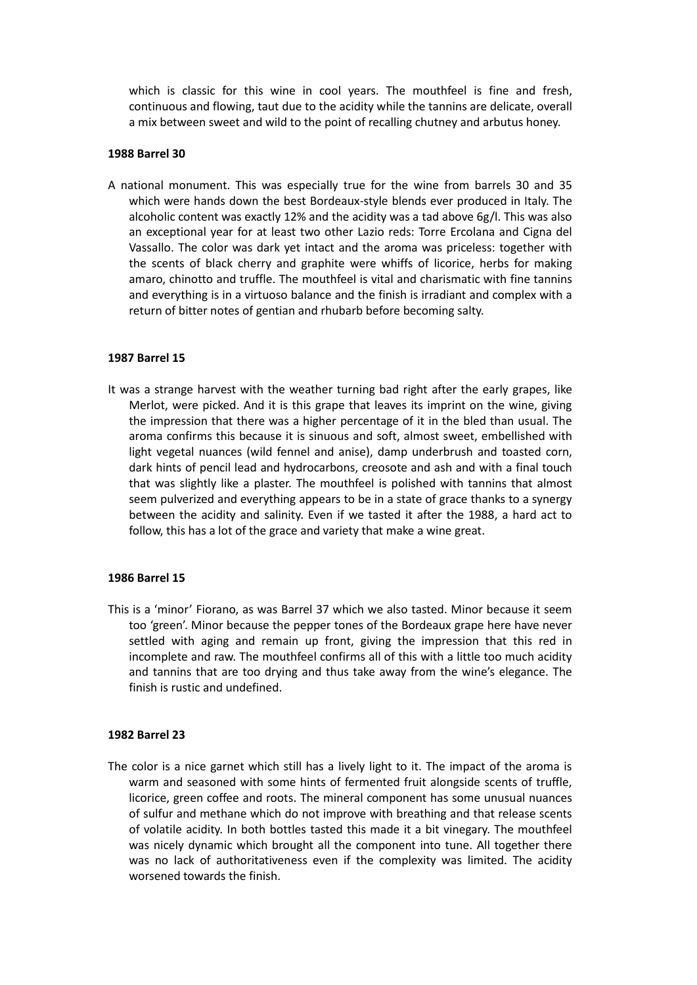which is classic for this wine in cool years. The mouthfeel is fine and fresh, continuous and flowing, taut due to the acidity while the tannins are delicate, overall a mix between sweet and wild to the point of recalling chutney and arbutus honey.

## **1988 Barrel 30**

A national monument. This was especially true for the wine from barrels 30 and 35 which were hands down the best Bordeaux-style blends ever produced in Italy. The alcoholic content was exactly 12% and the acidity was a tad above 6g/l. This was also an exceptional year for at least two other Lazio reds: Torre Ercolana and Cigna del Vassallo. The color was dark yet intact and the aroma was priceless: together with the scents of black cherry and graphite were whiffs of licorice, herbs for making amaro, chinotto and truffle. The mouthfeel is vital and charismatic with fine tannins and everything is in a virtuoso balance and the finish is irradiant and complex with a return of bitter notes of gentian and rhubarb before becoming salty.

# **1987 Barrel 15**

It was a strange harvest with the weather turning bad right after the early grapes, like Merlot, were picked. And it is this grape that leaves its imprint on the wine, giving the impression that there was a higher percentage of it in the bled than usual. The aroma confirms this because it is sinuous and soft, almost sweet, embellished with light vegetal nuances (wild fennel and anise), damp underbrush and toasted corn, dark hints of pencil lead and hydrocarbons, creosote and ash and with a final touch that was slightly like a plaster. The mouthfeel is polished with tannins that almost seem pulverized and everything appears to be in a state of grace thanks to a synergy between the acidity and salinity. Even if we tasted it after the 1988, a hard act to follow, this has a lot of the grace and variety that make a wine great.

## **1986 Barrel 15**

This is a 'minor' Fiorano, as was Barrel 37 which we also tasted. Minor because it seem too 'green'. Minor because the pepper tones of the Bordeaux grape here have never settled with aging and remain up front, giving the impression that this red in incomplete and raw. The mouthfeel confirms all of this with a little too much acidity and tannins that are too drying and thus take away from the wine's elegance. The finish is rustic and undefined.

## **1982 Barrel 23**

The color is a nice garnet which still has a lively light to it. The impact of the aroma is warm and seasoned with some hints of fermented fruit alongside scents of truffle, licorice, green coffee and roots. The mineral component has some unusual nuances of sulfur and methane which do not improve with breathing and that release scents of volatile acidity. In both bottles tasted this made it a bit vinegary. The mouthfeel was nicely dynamic which brought all the component into tune. All together there was no lack of authoritativeness even if the complexity was limited. The acidity worsened towards the finish.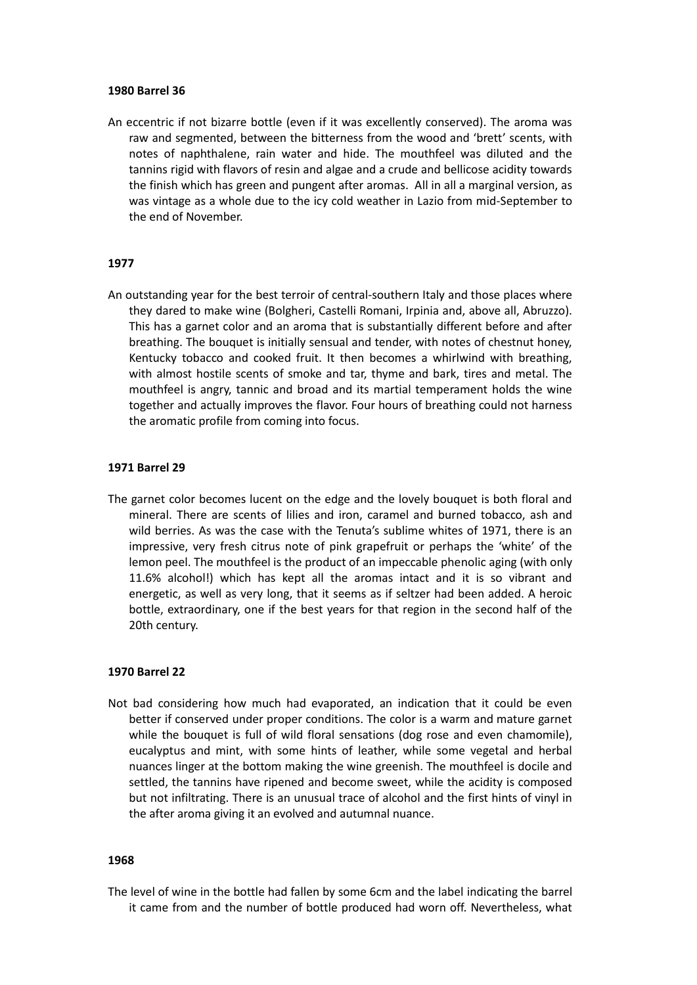#### **1980 Barrel 36**

An eccentric if not bizarre bottle (even if it was excellently conserved). The aroma was raw and segmented, between the bitterness from the wood and 'brett' scents, with notes of naphthalene, rain water and hide. The mouthfeel was diluted and the tannins rigid with flavors of resin and algae and a crude and bellicose acidity towards the finish which has green and pungent after aromas. All in all a marginal version, as was vintage as a whole due to the icy cold weather in Lazio from mid-September to the end of November.

# **1977**

An outstanding year for the best terroir of central-southern Italy and those places where they dared to make wine (Bolgheri, Castelli Romani, Irpinia and, above all, Abruzzo). This has a garnet color and an aroma that is substantially different before and after breathing. The bouquet is initially sensual and tender, with notes of chestnut honey, Kentucky tobacco and cooked fruit. It then becomes a whirlwind with breathing, with almost hostile scents of smoke and tar, thyme and bark, tires and metal. The mouthfeel is angry, tannic and broad and its martial temperament holds the wine together and actually improves the flavor. Four hours of breathing could not harness the aromatic profile from coming into focus.

#### **1971 Barrel 29**

The garnet color becomes lucent on the edge and the lovely bouquet is both floral and mineral. There are scents of lilies and iron, caramel and burned tobacco, ash and wild berries. As was the case with the Tenuta's sublime whites of 1971, there is an impressive, very fresh citrus note of pink grapefruit or perhaps the 'white' of the lemon peel. The mouthfeel is the product of an impeccable phenolic aging (with only 11.6% alcohol!) which has kept all the aromas intact and it is so vibrant and energetic, as well as very long, that it seems as if seltzer had been added. A heroic bottle, extraordinary, one if the best years for that region in the second half of the 20th century.

## **1970 Barrel 22**

Not bad considering how much had evaporated, an indication that it could be even better if conserved under proper conditions. The color is a warm and mature garnet while the bouquet is full of wild floral sensations (dog rose and even chamomile), eucalyptus and mint, with some hints of leather, while some vegetal and herbal nuances linger at the bottom making the wine greenish. The mouthfeel is docile and settled, the tannins have ripened and become sweet, while the acidity is composed but not infiltrating. There is an unusual trace of alcohol and the first hints of vinyl in the after aroma giving it an evolved and autumnal nuance.

## **1968**

The level of wine in the bottle had fallen by some 6cm and the label indicating the barrel it came from and the number of bottle produced had worn off. Nevertheless, what